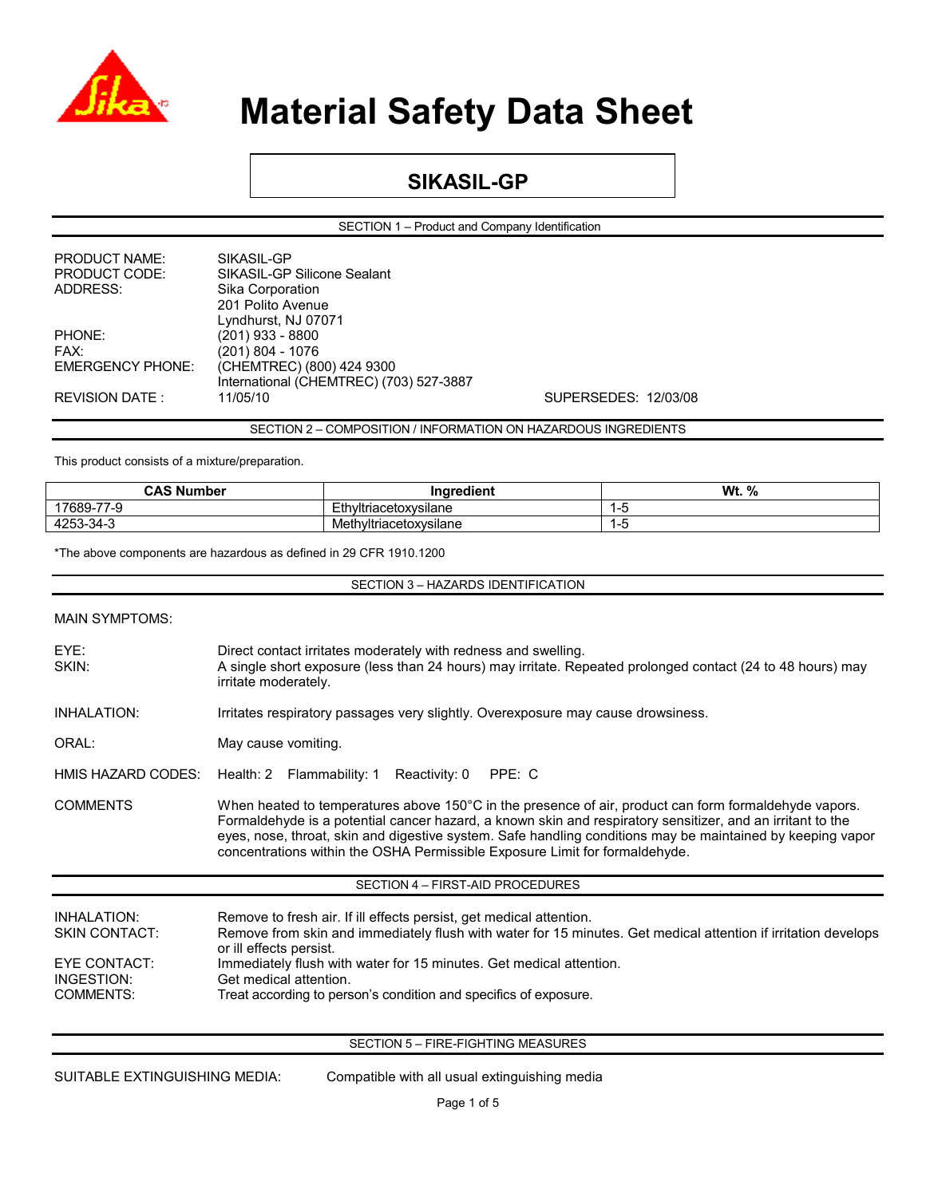

### **SIKASIL-GP**

SECTION 1 – Product and Company Identification

| <b>PRODUCT NAME:</b>    | SIKASIL-GP                              |                      |  |
|-------------------------|-----------------------------------------|----------------------|--|
| PRODUCT CODE:           | SIKASIL-GP Silicone Sealant             |                      |  |
| ADDRESS:                | Sika Corporation                        |                      |  |
|                         | 201 Polito Avenue                       |                      |  |
|                         | Lyndhurst, NJ 07071                     |                      |  |
| PHONE:                  | (201) 933 - 8800                        |                      |  |
| FAX:                    | (201) 804 - 1076                        |                      |  |
| <b>EMERGENCY PHONE:</b> | (CHEMTREC) (800) 424 9300               |                      |  |
|                         | International (CHEMTREC) (703) 527-3887 |                      |  |
| <b>REVISION DATE:</b>   | 11/05/10                                | SUPERSEDES: 12/03/08 |  |
|                         |                                         |                      |  |

SECTION 2 – COMPOSITION / INFORMATION ON HAZARDOUS INGREDIENTS

This product consists of a mixture/preparation.

| <b>CAS Number</b>          | .<br>Ingredient        | Wt.<br>% |
|----------------------------|------------------------|----------|
| 17689-77-<br>$\sim$<br>7-9 | Ethyltriacetoxysilane  | -3       |
| 4253-34-3                  | Methyltriacetoxysilane | -3       |

\*The above components are hazardous as defined in 29 CFR 1910.1200

SECTION 3 – HAZARDS IDENTIFICATION

| <b>MAIN SYMPTOMS:</b>                                                                        |                                                                                                                                                                                                                                                                                                                                                                                                                  |
|----------------------------------------------------------------------------------------------|------------------------------------------------------------------------------------------------------------------------------------------------------------------------------------------------------------------------------------------------------------------------------------------------------------------------------------------------------------------------------------------------------------------|
| EYE:<br>SKIN:                                                                                | Direct contact irritates moderately with redness and swelling.<br>A single short exposure (less than 24 hours) may irritate. Repeated prolonged contact (24 to 48 hours) may<br>irritate moderately.                                                                                                                                                                                                             |
| <b>INHALATION:</b>                                                                           | Irritates respiratory passages very slightly. Overexposure may cause drowsiness.                                                                                                                                                                                                                                                                                                                                 |
| ORAL:                                                                                        | May cause vomiting.                                                                                                                                                                                                                                                                                                                                                                                              |
| HMIS HAZARD CODES:                                                                           | Health: 2 Flammability: 1 Reactivity: 0<br>PPE: C                                                                                                                                                                                                                                                                                                                                                                |
| <b>COMMENTS</b>                                                                              | When heated to temperatures above 150°C in the presence of air, product can form formaldehyde vapors.<br>Formaldehyde is a potential cancer hazard, a known skin and respiratory sensitizer, and an irritant to the<br>eyes, nose, throat, skin and digestive system. Safe handling conditions may be maintained by keeping vapor<br>concentrations within the OSHA Permissible Exposure Limit for formaldehyde. |
|                                                                                              | SECTION 4 - FIRST-AID PROCEDURES                                                                                                                                                                                                                                                                                                                                                                                 |
| <b>INHALATION:</b><br><b>SKIN CONTACT:</b><br><b>EYE CONTACT:</b><br>INGESTION:<br>COMMENTS: | Remove to fresh air. If ill effects persist, get medical attention.<br>Remove from skin and immediately flush with water for 15 minutes. Get medical attention if irritation develops<br>or ill effects persist.<br>Immediately flush with water for 15 minutes. Get medical attention.<br>Get medical attention.<br>Treat according to person's condition and specifics of exposure.                            |
|                                                                                              | SECTION 5 - FIRE-FIGHTING MEASURES                                                                                                                                                                                                                                                                                                                                                                               |

SUITABLE EXTINGUISHING MEDIA: Compatible with all usual extinguishing media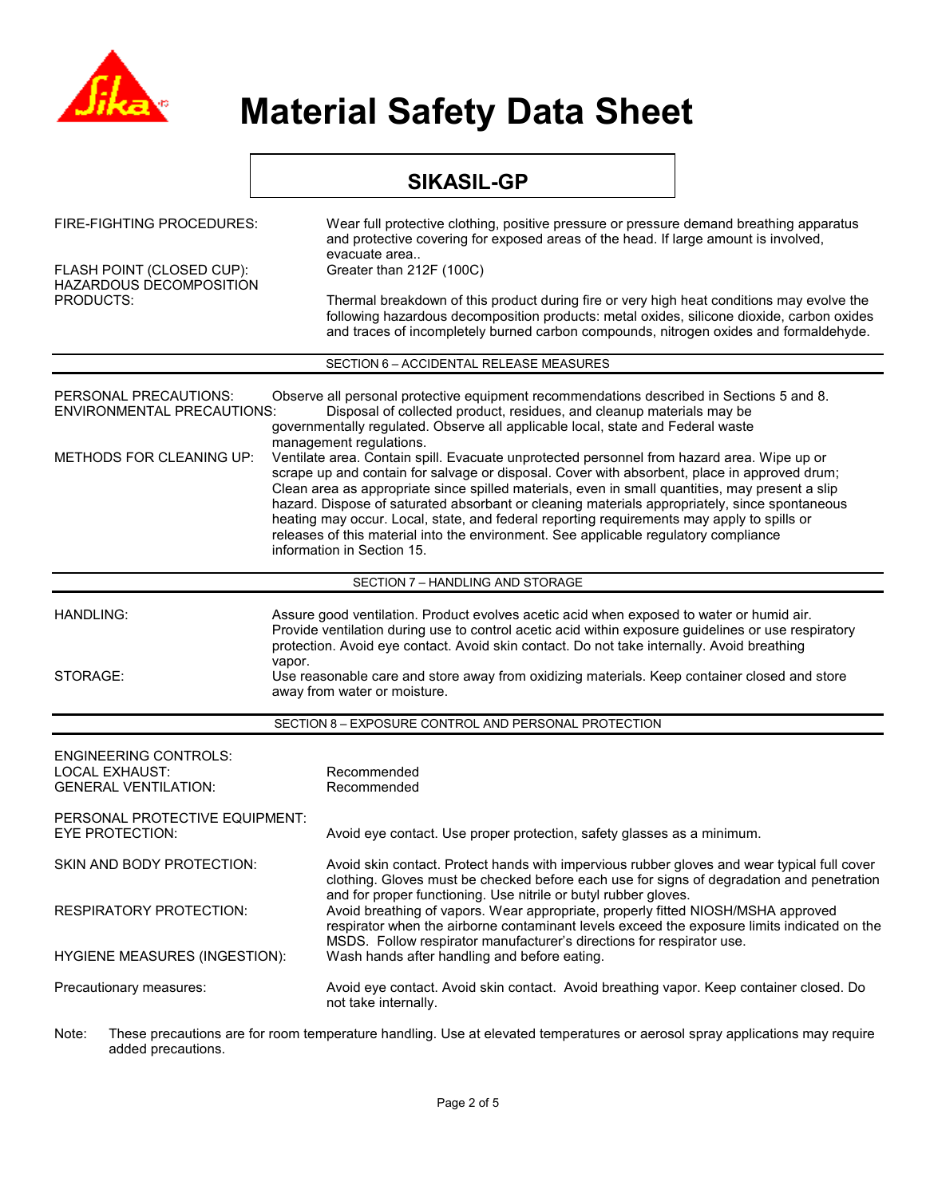

#### **SIKASIL-GP**  FIRE-FIGHTING PROCEDURES: Wear full protective clothing, positive pressure or pressure demand breathing apparatus and protective covering for exposed areas of the head. If large amount is involved, evacuate area..<br>Greater than 212F (100C) FLASH POINT (CLOSED CUP): HAZARDOUS DECOMPOSITION<br>PRODUCTS: Thermal breakdown of this product during fire or very high heat conditions may evolve the following hazardous decomposition products: metal oxides, silicone dioxide, carbon oxides and traces of incompletely burned carbon compounds, nitrogen oxides and formaldehyde. SECTION 6 – ACCIDENTAL RELEASE MEASURES PERSONAL PRECAUTIONS: Observe all personal protective equipment recommendations described in Sections 5 and 8.<br>ENVIRONMENTAL PRECAUTIONS: Disposal of collected product. residues, and cleanup materials may be Disposal of collected product, residues, and cleanup materials may be governmentally regulated. Observe all applicable local, state and Federal waste management regulations. METHODS FOR CLEANING UP: Ventilate area. Contain spill. Evacuate unprotected personnel from hazard area. Wipe up or scrape up and contain for salvage or disposal. Cover with absorbent, place in approved drum; Clean area as appropriate since spilled materials, even in small quantities, may present a slip hazard. Dispose of saturated absorbant or cleaning materials appropriately, since spontaneous heating may occur. Local, state, and federal reporting requirements may apply to spills or releases of this material into the environment. See applicable regulatory compliance information in Section 15. SECTION 7 – HANDLING AND STORAGE HANDLING: Assure good ventilation. Product evolves acetic acid when exposed to water or humid air. Provide ventilation during use to control acetic acid within exposure guidelines or use respiratory protection. Avoid eye contact. Avoid skin contact. Do not take internally. Avoid breathing vanor STORAGE: Use reasonable care and store away from oxidizing materials. Keep container closed and store away from water or moisture. SECTION 8 – EXPOSURE CONTROL AND PERSONAL PROTECTION ENGINEERING CONTROLS: LOCAL EXHAUST: Recommended GENERAL VENTILATION: Recommended PERSONAL PROTECTIVE EQUIPMENT: EYE PROTECTION: Avoid eye contact. Use proper protection, safety glasses as a minimum. SKIN AND BODY PROTECTION: Avoid skin contact. Protect hands with impervious rubber gloves and wear typical full cover clothing. Gloves must be checked before each use for signs of degradation and penetration and for proper functioning. Use nitrile or butyl rubber gloves. RESPIRATORY PROTECTION: Avoid breathing of vapors. Wear appropriate, properly fitted NIOSH/MSHA approved respirator when the airborne contaminant levels exceed the exposure limits indicated on the MSDS. Follow respirator manufacturer's directions for respirator use. HYGIENE MEASURES (INGESTION): Wash hands after handling and before eating. Precautionary measures: Avoid eye contact. Avoid skin contact. Avoid breathing vapor. Keep container closed. Do not take internally. Note: These precautions are for room temperature handling. Use at elevated temperatures or aerosol spray applications may require

added precautions.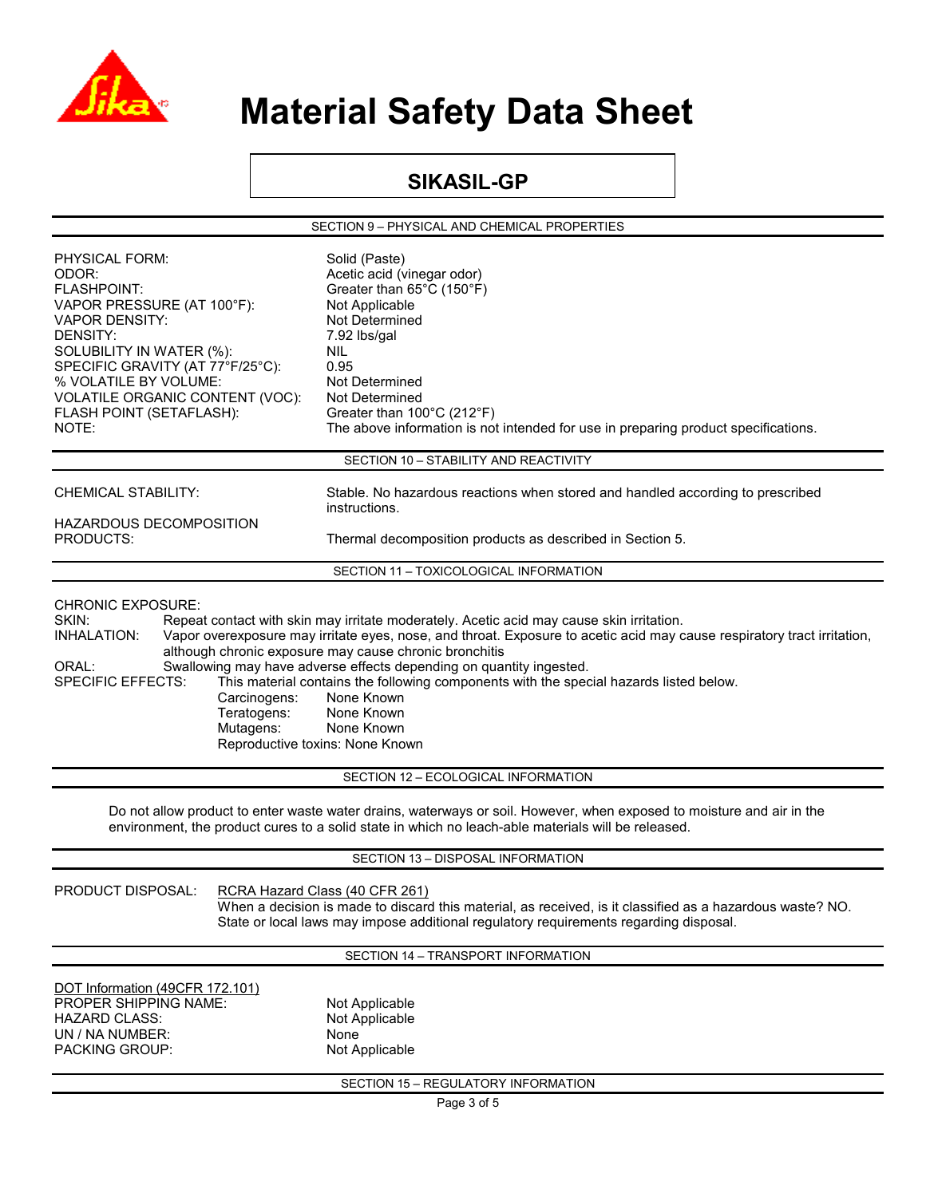

### **SIKASIL-GP**

SECTION 9 – PHYSICAL AND CHEMICAL PROPERTIES

| PHYSICAL FORM:<br>ODOR:<br><b>FLASHPOINT:</b><br>VAPOR PRESSURE (AT 100°F):<br><b>VAPOR DENSITY:</b><br>DENSITY:<br>SOLUBILITY IN WATER (%):<br>SPECIFIC GRAVITY (AT 77°F/25°C):<br>% VOLATILE BY VOLUME:<br>VOLATILE ORGANIC CONTENT (VOC):<br>FLASH POINT (SETAFLASH):<br>NOTE: | Solid (Paste)<br>Acetic acid (vinegar odor)<br>Greater than $65^{\circ}$ C (150 $^{\circ}$ F)<br>Not Applicable<br>Not Determined<br>7.92 lbs/gal<br>NIL.<br>0.95<br>Not Determined<br>Not Determined<br>Greater than 100°C (212°F)<br>The above information is not intended for use in preparing product specifications.                                                                                                       |  |
|-----------------------------------------------------------------------------------------------------------------------------------------------------------------------------------------------------------------------------------------------------------------------------------|---------------------------------------------------------------------------------------------------------------------------------------------------------------------------------------------------------------------------------------------------------------------------------------------------------------------------------------------------------------------------------------------------------------------------------|--|
|                                                                                                                                                                                                                                                                                   | SECTION 10 - STABILITY AND REACTIVITY                                                                                                                                                                                                                                                                                                                                                                                           |  |
| <b>CHEMICAL STABILITY:</b>                                                                                                                                                                                                                                                        | Stable. No hazardous reactions when stored and handled according to prescribed<br>instructions.                                                                                                                                                                                                                                                                                                                                 |  |
| <b>HAZARDOUS DECOMPOSITION</b><br>PRODUCTS:                                                                                                                                                                                                                                       | Thermal decomposition products as described in Section 5.                                                                                                                                                                                                                                                                                                                                                                       |  |
|                                                                                                                                                                                                                                                                                   | SECTION 11 - TOXICOLOGICAL INFORMATION                                                                                                                                                                                                                                                                                                                                                                                          |  |
| INHALATION:<br>ORAL:<br><b>SPECIFIC EFFECTS:</b><br>Carcinogens:<br>Teratogens:<br>Mutagens:                                                                                                                                                                                      | Vapor overexposure may irritate eyes, nose, and throat. Exposure to acetic acid may cause respiratory tract irritation,<br>although chronic exposure may cause chronic bronchitis<br>Swallowing may have adverse effects depending on quantity ingested.<br>This material contains the following components with the special hazards listed below.<br>None Known<br>None Known<br>None Known<br>Reproductive toxins: None Known |  |
|                                                                                                                                                                                                                                                                                   | SECTION 12 - ECOLOGICAL INFORMATION                                                                                                                                                                                                                                                                                                                                                                                             |  |
|                                                                                                                                                                                                                                                                                   | Do not allow product to enter waste water drains, waterways or soil. However, when exposed to moisture and air in the<br>environment, the product cures to a solid state in which no leach-able materials will be released.                                                                                                                                                                                                     |  |
|                                                                                                                                                                                                                                                                                   | SECTION 13 - DISPOSAL INFORMATION                                                                                                                                                                                                                                                                                                                                                                                               |  |
| PRODUCT DISPOSAL:                                                                                                                                                                                                                                                                 | RCRA Hazard Class (40 CFR 261)<br>When a decision is made to discard this material, as received, is it classified as a hazardous waste? NO.<br>State or local laws may impose additional regulatory requirements regarding disposal.                                                                                                                                                                                            |  |
|                                                                                                                                                                                                                                                                                   | SECTION 14 - TRANSPORT INFORMATION                                                                                                                                                                                                                                                                                                                                                                                              |  |
| DOT Information (49CFR 172.101)<br>PROPER SHIPPING NAME:<br><b>HAZARD CLASS:</b><br>UN / NA NUMBER:<br>PACKING GROUP:                                                                                                                                                             | Not Applicable<br>Not Applicable<br>None<br>Not Applicable                                                                                                                                                                                                                                                                                                                                                                      |  |
| SECTION 15 - REGULATORY INFORMATION                                                                                                                                                                                                                                               |                                                                                                                                                                                                                                                                                                                                                                                                                                 |  |
|                                                                                                                                                                                                                                                                                   | Page 3 of 5                                                                                                                                                                                                                                                                                                                                                                                                                     |  |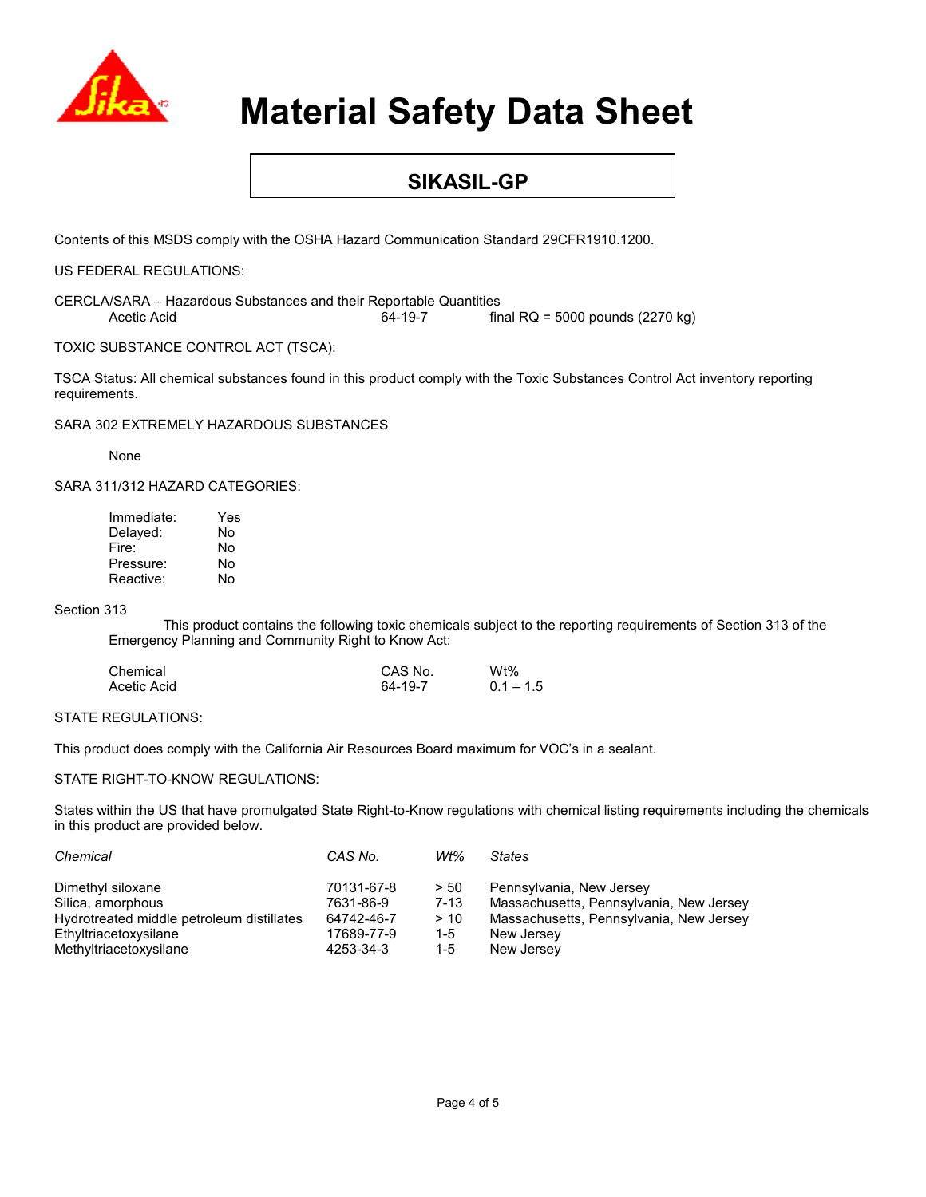

### **SIKASIL-GP**

Contents of this MSDS comply with the OSHA Hazard Communication Standard 29CFR1910.1200.

US FEDERAL REGULATIONS:

CERCLA/SARA – Hazardous Substances and their Reportable Quantities Acetic Acid 64-19-7 final RQ = 5000 pounds (2270 kg)

TOXIC SUBSTANCE CONTROL ACT (TSCA):

TSCA Status: All chemical substances found in this product comply with the Toxic Substances Control Act inventory reporting requirements.

SARA 302 EXTREMELY HAZARDOUS SUBSTANCES

None

SARA 311/312 HAZARD CATEGORIES:

| Immediate: | Yes |
|------------|-----|
| Delaved:   | No  |
| Fire:      | No  |
| Pressure:  | No  |
| Reactive:  | No  |

#### Section 313

This product contains the following toxic chemicals subject to the reporting requirements of Section 313 of the Emergency Planning and Community Right to Know Act:

| Chemical    | CAS No. | $Wt\%$      |
|-------------|---------|-------------|
| Acetic Acid | 64-19-7 | $0.1 - 1.5$ |

#### STATE REGULATIONS:

This product does comply with the California Air Resources Board maximum for VOC's in a sealant.

#### STATE RIGHT-TO-KNOW REGULATIONS:

States within the US that have promulgated State Right-to-Know regulations with chemical listing requirements including the chemicals in this product are provided below.

| Chemical                                  | CAS No.    | Wt%      | <b>States</b>                           |
|-------------------------------------------|------------|----------|-----------------------------------------|
| Dimethyl siloxane                         | 70131-67-8 | > 50     | Pennsylvania, New Jersey                |
| Silica, amorphous                         | 7631-86-9  | $7 - 13$ | Massachusetts, Pennsylvania, New Jersey |
| Hydrotreated middle petroleum distillates | 64742-46-7 | > 10     | Massachusetts, Pennsylvania, New Jersey |
| Ethyltriacetoxysilane                     | 17689-77-9 | 1-5      | New Jersey                              |
| Methyltriacetoxysilane                    | 4253-34-3  | 1-5      | New Jersey                              |